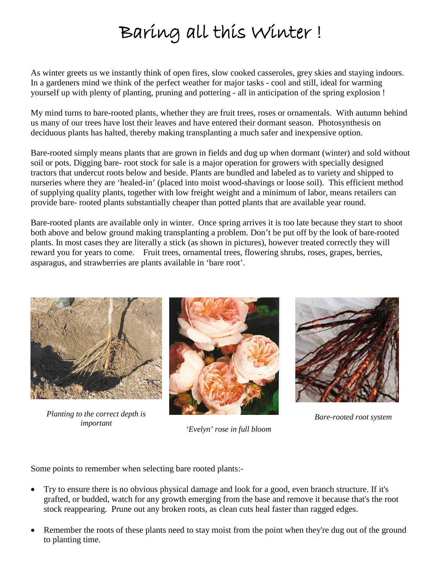## Baring all this Winter !

As winter greets us we instantly think of open fires, slow cooked casseroles, grey skies and staying indoors. In a gardeners mind we think of the perfect weather for major tasks - cool and still, ideal for warming yourself up with plenty of planting, pruning and pottering - all in anticipation of the spring explosion !

My mind turns to bare-rooted plants, whether they are fruit trees, roses or ornamentals. With autumn behind us many of our trees have lost their leaves and have entered their dormant season. Photosynthesis on deciduous plants has halted, thereby making transplanting a much safer and inexpensive option.

Bare-rooted simply means plants that are grown in fields and dug up when dormant (winter) and sold without soil or pots. Digging bare- root stock for sale is a major operation for growers with specially designed tractors that undercut roots below and beside. Plants are bundled and labeled as to variety and shipped to nurseries where they are 'healed-in' (placed into moist wood-shavings or loose soil). This efficient method of supplying quality plants, together with low freight weight and a minimum of labor, means retailers can provide bare- rooted plants substantially cheaper than potted plants that are available year round.

Bare-rooted plants are available only in winter. Once spring arrives it is too late because they start to shoot both above and below ground making transplanting a problem. Don't be put off by the look of bare-rooted plants. In most cases they are literally a stick (as shown in pictures), however treated correctly they will reward you for years to come. Fruit trees, ornamental trees, flowering shrubs, roses, grapes, berries, asparagus, and strawberries are plants available in 'bare root'.



*Planting to the correct depth is* 



*important 'Evelyn' rose in full bloom*



*Bare-rooted root system*

Some points to remember when selecting bare rooted plants:-

- Try to ensure there is no obvious physical damage and look for a good, even branch structure. If it's grafted, or budded, watch for any growth emerging from the base and remove it because that's the root stock reappearing. Prune out any broken roots, as clean cuts heal faster than ragged edges.
- Remember the roots of these plants need to stay moist from the point when they're dug out of the ground to planting time.